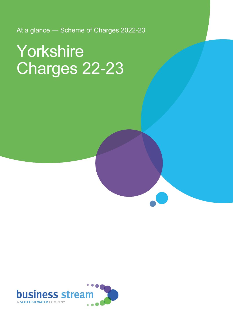At a glance — Scheme of Charges 2022-23

# Yorkshire Charges 22-23

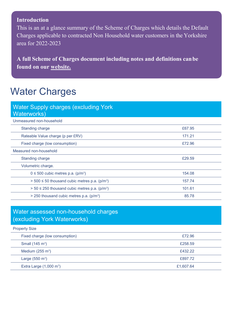#### **Introduction**

This is an at a glance summary of the Scheme of Charges which details the Default Charges applicable to contracted Non Household water customers in the Yorkshire area for 2022-2023

**A full Scheme of Charges document including notes and definitions canbe found on our [website.](https://d293gcbh7q7l5y.cloudfront.net/images/uploads/general/BS_charges_statement_-_Yorkshire_2022-23_Final_V2.pdf)**

### Water Charges

| <b>Water Supply charges (excluding York)</b><br>Waterworks)      |        |
|------------------------------------------------------------------|--------|
| Unmeasured non-household                                         |        |
| <b>Standing charge</b>                                           | £67.95 |
| Rateable Value charge (p per £RV)                                | 171.21 |
| Fixed charge (low consumption)                                   | £72.96 |
| Measured non-household                                           |        |
| <b>Standing charge</b>                                           | £29.59 |
| Volumetric charge.                                               |        |
| $0 \le 500$ cubic metres p.a. (p/m <sup>3</sup> )                | 154.08 |
| $> 500 \le 50$ thousand cubic metres p.a. (p/m <sup>3</sup> )    | 157.74 |
| $>$ 50 $\leq$ 250 thousand cubic metres p.a. (p/m <sup>3</sup> ) | 101.61 |
| $>$ 250 thousand cubic metres p.a. (p/m <sup>3</sup> )           | 85.78  |

#### Water assessed non-household charges (excluding York Waterworks)

#### Property Size

| Fixed charge (low consumption)    | £72.96    |
|-----------------------------------|-----------|
| Small $(145 \text{ m}^3)$         | £258.59   |
| Medium $(255 \text{ m}^3)$        | £432.22   |
| Large $(550 \text{ m}^3)$         | £897.72   |
| Extra Large $(1,000 \text{ m}^3)$ | £1,607.64 |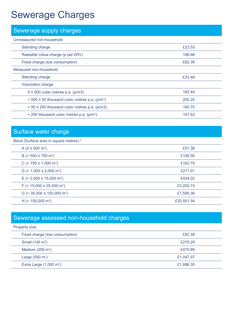### Sewerage Charges

| Sewerage supply charges                                          |        |
|------------------------------------------------------------------|--------|
| Unmeasured non-household                                         |        |
| <b>Standing charge</b>                                           | £23.53 |
| Rateable Value charge (p per £RV)                                | 196.68 |
| Fixed charge (low consumption)                                   | £82.39 |
| Measured non-household                                           |        |
| <b>Standing charge</b>                                           | £33.48 |
| Volumetric charge                                                |        |
| $0 \le 500$ cubic metres p.a. (p/m3)                             | 182.44 |
| $>$ 500 $\leq$ 50 thousand cubic metres p.a. (p/m <sup>3</sup> ) | 200.20 |
| $> 50 \le 250$ thousand cubic metres p.a. (p/m3)                 | 160.70 |
| $>$ 250 thousand cubic metres p.a. (p/m <sup>3</sup> )           | 147.63 |

#### Surface water charge

#### Band (Surface area in square metres) \*

| A ( $0 \le 500$ m <sup>2</sup> )               | £51.38     |
|------------------------------------------------|------------|
| B (> 500 ≤ 750 m <sup>2</sup> )                | £108.50    |
| C ( $> 750 \le 1,000$ m <sup>2</sup> )         | £162.75    |
| D ( $> 1,000 \le 2,000$ m <sup>2</sup> )       | £217.01    |
| $E$ (> 2,000 $\leq$ 15,000 m <sup>2</sup> )    | £434.02    |
| F ( $> 15,000 \leq 35,000$ m <sup>2</sup> )    | £3,255.15  |
| G ( $>$ 35,000 $\leq$ 150,000 m <sup>2</sup> ) | £7,595.36  |
| H ( $> 150,000$ m <sup>2</sup> )               | £32,551.54 |

#### Sewerage assessed non-household charges

#### Property size Fixed charge (low consumption) **EXALL EXALL EXALL EXAMPLE 2018** Small  $(145 \text{ m}^3)$ ) the contraction of the contraction of the contraction of the contraction of the contraction of the contraction of the contraction of the contraction of the contraction of the contraction of the contraction of the contra Medium  $(255 \text{ m}^3)$ ) and the contract of the contract of the contract of the contract of the contract of the contract of the contract of the contract of the contract of the contract of the contract of the contract of the contract of the con Large  $(550 \text{ m}^3)$ ) £1,047.07 Extra Large  $(1,000 \text{ m}^3)$ ) £1,886.35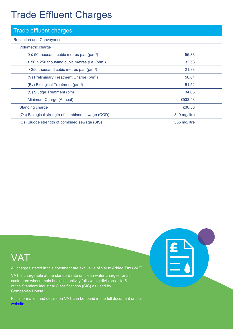### Trade Effluent Charges

| <b>Trade effluent charges</b>                                 |              |
|---------------------------------------------------------------|--------------|
| <b>Reception and Conveyance</b>                               |              |
| Volumetric charge                                             |              |
| $0 \le 50$ thousand cubic metres p.a. (p/m <sup>3</sup> )     | 55.83        |
| $> 50 \le 250$ thousand cubic metres p.a. (p/m <sup>3</sup> ) | 32.58        |
| $>$ 250 thousand cubic metres p.a. (p/m <sup>3</sup> )        | 21.88        |
| (V) Preliminary Treatment Charge (p/m <sup>3</sup> )          | 56.81        |
| (Bv) Biological Treatment (p/m <sup>3</sup> )                 | 51.52        |
| $(S)$ Sludge Treatment ( $p/m3$ )                             | 34.03        |
| Minimum Charge (Annual)                                       | £533.53      |
| <b>Standing charge</b>                                        | £30.58       |
| (Os) Biological strength of combined sewage (COD)             | 840 mg/litre |
| (Ss) Sludge strength of combined sewage (StS)                 | 335 mg/litre |



All charges stated in this document are exclusive of Value Added Tax (VAT).

VAT is chargeable at the standard rate on clean water charges for all customers whose main business activity falls within divisions 1 to 5 of the Standard Industrial Classifications (SIC) as used by Companies House.

Full information and details on VAT can be found in the full document on our [web](https://d293gcbh7q7l5y.cloudfront.net/images/uploads/general/BS_charges_statement_-_Yorkshire_2022-23_Final_V2.pdf)[site.](https://d293gcbh7q7l5y.cloudfront.net/images/uploads/general/BS_charges_statement_-_Yorkshire_2022-23_Final_V1.pdf)

| L<br>$\epsilon$ |  |
|-----------------|--|
|                 |  |
|                 |  |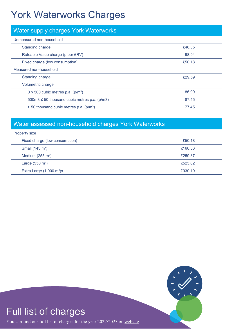### York Waterworks Charges

| Water supply charges York Waterworks                     |        |
|----------------------------------------------------------|--------|
| Unmeasured non-household                                 |        |
| <b>Standing charge</b>                                   | £46.35 |
| Rateable Value charge (p per £RV)                        | 98.94  |
| Fixed charge (low consumption)                           | £50.18 |
| Measured non-household                                   |        |
| <b>Standing charge</b>                                   | £29.59 |
| Volumetric charge                                        |        |
| $0 \le 500$ cubic metres p.a. (p/m <sup>3</sup> )        | 86.99  |
| $500 \text{m}3 \le 50$ thousand cubic metres p.a. (p/m3) | 87.45  |
| > 50 thousand cubic metres p.a. (p/m <sup>3</sup> )      | 77.45  |

### Water assessed non-household charges York Waterworks

| <b>Property size</b>                |         |
|-------------------------------------|---------|
| Fixed charge (low consumption)      | £50.18  |
| Small $(145 \text{ m}^3)$           | £160.36 |
| Medium $(255 \text{ m}^3)$          | £259.37 |
| Large $(550 \text{ m}^3)$           | £525.02 |
| Extra Large $(1,000 \text{ m}^3)$ s | £930.19 |